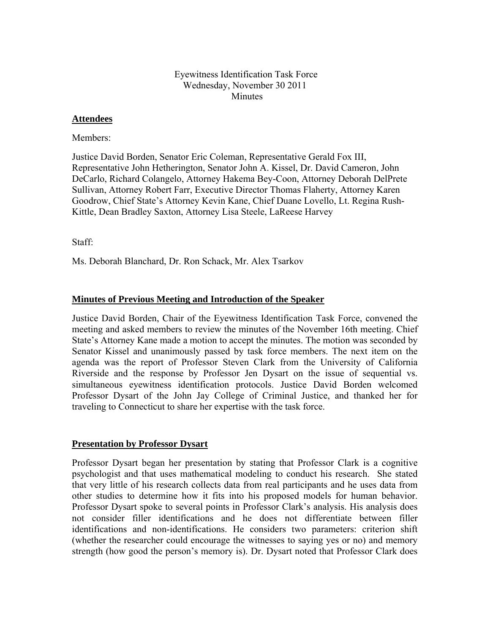# Eyewitness Identification Task Force Wednesday, November 30 2011 Minutes

## **Attendees**

Members:

Justice David Borden, Senator Eric Coleman, Representative Gerald Fox III, Representative John Hetherington, Senator John A. Kissel, Dr. David Cameron, John DeCarlo, Richard Colangelo, Attorney Hakema Bey-Coon, Attorney Deborah DelPrete Sullivan, Attorney Robert Farr, Executive Director Thomas Flaherty, Attorney Karen Goodrow, Chief State's Attorney Kevin Kane, Chief Duane Lovello, Lt. Regina Rush-Kittle, Dean Bradley Saxton, Attorney Lisa Steele, LaReese Harvey

Staff:

Ms. Deborah Blanchard, Dr. Ron Schack, Mr. Alex Tsarkov

# **Minutes of Previous Meeting and Introduction of the Speaker**

Justice David Borden, Chair of the Eyewitness Identification Task Force, convened the meeting and asked members to review the minutes of the November 16th meeting. Chief State's Attorney Kane made a motion to accept the minutes. The motion was seconded by Senator Kissel and unanimously passed by task force members. The next item on the agenda was the report of Professor Steven Clark from the University of California Riverside and the response by Professor Jen Dysart on the issue of sequential vs. simultaneous eyewitness identification protocols. Justice David Borden welcomed Professor Dysart of the John Jay College of Criminal Justice, and thanked her for traveling to Connecticut to share her expertise with the task force.

#### **Presentation by Professor Dysart**

Professor Dysart began her presentation by stating that Professor Clark is a cognitive psychologist and that uses mathematical modeling to conduct his research. She stated that very little of his research collects data from real participants and he uses data from other studies to determine how it fits into his proposed models for human behavior. Professor Dysart spoke to several points in Professor Clark's analysis. His analysis does not consider filler identifications and he does not differentiate between filler identifications and non-identifications. He considers two parameters: criterion shift (whether the researcher could encourage the witnesses to saying yes or no) and memory strength (how good the person's memory is). Dr. Dysart noted that Professor Clark does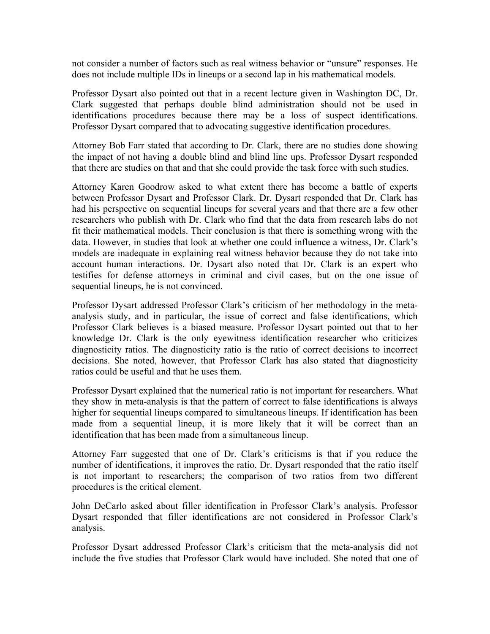not consider a number of factors such as real witness behavior or "unsure" responses. He does not include multiple IDs in lineups or a second lap in his mathematical models.

Professor Dysart also pointed out that in a recent lecture given in Washington DC, Dr. Clark suggested that perhaps double blind administration should not be used in identifications procedures because there may be a loss of suspect identifications. Professor Dysart compared that to advocating suggestive identification procedures.

Attorney Bob Farr stated that according to Dr. Clark, there are no studies done showing the impact of not having a double blind and blind line ups. Professor Dysart responded that there are studies on that and that she could provide the task force with such studies.

Attorney Karen Goodrow asked to what extent there has become a battle of experts between Professor Dysart and Professor Clark. Dr. Dysart responded that Dr. Clark has had his perspective on sequential lineups for several years and that there are a few other researchers who publish with Dr. Clark who find that the data from research labs do not fit their mathematical models. Their conclusion is that there is something wrong with the data. However, in studies that look at whether one could influence a witness, Dr. Clark's models are inadequate in explaining real witness behavior because they do not take into account human interactions. Dr. Dysart also noted that Dr. Clark is an expert who testifies for defense attorneys in criminal and civil cases, but on the one issue of sequential lineups, he is not convinced.

Professor Dysart addressed Professor Clark's criticism of her methodology in the metaanalysis study, and in particular, the issue of correct and false identifications, which Professor Clark believes is a biased measure. Professor Dysart pointed out that to her knowledge Dr. Clark is the only eyewitness identification researcher who criticizes diagnosticity ratios. The diagnosticity ratio is the ratio of correct decisions to incorrect decisions. She noted, however, that Professor Clark has also stated that diagnosticity ratios could be useful and that he uses them.

Professor Dysart explained that the numerical ratio is not important for researchers. What they show in meta-analysis is that the pattern of correct to false identifications is always higher for sequential lineups compared to simultaneous lineups. If identification has been made from a sequential lineup, it is more likely that it will be correct than an identification that has been made from a simultaneous lineup.

Attorney Farr suggested that one of Dr. Clark's criticisms is that if you reduce the number of identifications, it improves the ratio. Dr. Dysart responded that the ratio itself is not important to researchers; the comparison of two ratios from two different procedures is the critical element.

John DeCarlo asked about filler identification in Professor Clark's analysis. Professor Dysart responded that filler identifications are not considered in Professor Clark's analysis.

Professor Dysart addressed Professor Clark's criticism that the meta-analysis did not include the five studies that Professor Clark would have included. She noted that one of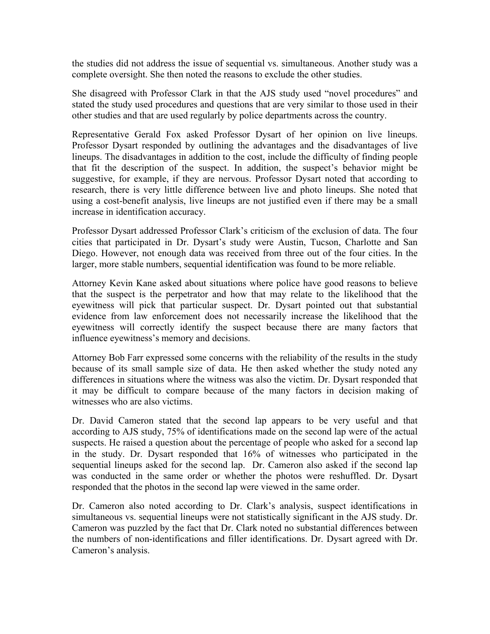the studies did not address the issue of sequential vs. simultaneous. Another study was a complete oversight. She then noted the reasons to exclude the other studies.

She disagreed with Professor Clark in that the AJS study used "novel procedures" and stated the study used procedures and questions that are very similar to those used in their other studies and that are used regularly by police departments across the country.

Representative Gerald Fox asked Professor Dysart of her opinion on live lineups. Professor Dysart responded by outlining the advantages and the disadvantages of live lineups. The disadvantages in addition to the cost, include the difficulty of finding people that fit the description of the suspect. In addition, the suspect's behavior might be suggestive, for example, if they are nervous. Professor Dysart noted that according to research, there is very little difference between live and photo lineups. She noted that using a cost-benefit analysis, live lineups are not justified even if there may be a small increase in identification accuracy.

Professor Dysart addressed Professor Clark's criticism of the exclusion of data. The four cities that participated in Dr. Dysart's study were Austin, Tucson, Charlotte and San Diego. However, not enough data was received from three out of the four cities. In the larger, more stable numbers, sequential identification was found to be more reliable.

Attorney Kevin Kane asked about situations where police have good reasons to believe that the suspect is the perpetrator and how that may relate to the likelihood that the eyewitness will pick that particular suspect. Dr. Dysart pointed out that substantial evidence from law enforcement does not necessarily increase the likelihood that the eyewitness will correctly identify the suspect because there are many factors that influence eyewitness's memory and decisions.

Attorney Bob Farr expressed some concerns with the reliability of the results in the study because of its small sample size of data. He then asked whether the study noted any differences in situations where the witness was also the victim. Dr. Dysart responded that it may be difficult to compare because of the many factors in decision making of witnesses who are also victims.

Dr. David Cameron stated that the second lap appears to be very useful and that according to AJS study, 75% of identifications made on the second lap were of the actual suspects. He raised a question about the percentage of people who asked for a second lap in the study. Dr. Dysart responded that 16% of witnesses who participated in the sequential lineups asked for the second lap. Dr. Cameron also asked if the second lap was conducted in the same order or whether the photos were reshuffled. Dr. Dysart responded that the photos in the second lap were viewed in the same order.

Dr. Cameron also noted according to Dr. Clark's analysis, suspect identifications in simultaneous vs. sequential lineups were not statistically significant in the AJS study. Dr. Cameron was puzzled by the fact that Dr. Clark noted no substantial differences between the numbers of non-identifications and filler identifications. Dr. Dysart agreed with Dr. Cameron's analysis.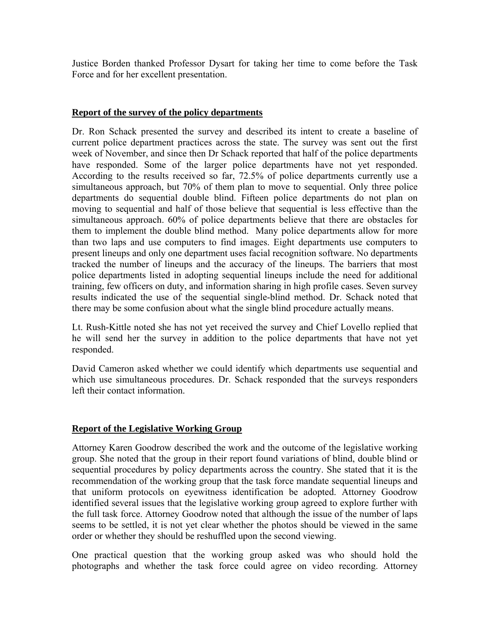Justice Borden thanked Professor Dysart for taking her time to come before the Task Force and for her excellent presentation.

#### **Report of the survey of the policy departments**

Dr. Ron Schack presented the survey and described its intent to create a baseline of current police department practices across the state. The survey was sent out the first week of November, and since then Dr Schack reported that half of the police departments have responded. Some of the larger police departments have not yet responded. According to the results received so far, 72.5% of police departments currently use a simultaneous approach, but 70% of them plan to move to sequential. Only three police departments do sequential double blind. Fifteen police departments do not plan on moving to sequential and half of those believe that sequential is less effective than the simultaneous approach. 60% of police departments believe that there are obstacles for them to implement the double blind method. Many police departments allow for more than two laps and use computers to find images. Eight departments use computers to present lineups and only one department uses facial recognition software. No departments tracked the number of lineups and the accuracy of the lineups. The barriers that most police departments listed in adopting sequential lineups include the need for additional training, few officers on duty, and information sharing in high profile cases. Seven survey results indicated the use of the sequential single-blind method. Dr. Schack noted that there may be some confusion about what the single blind procedure actually means.

Lt. Rush-Kittle noted she has not yet received the survey and Chief Lovello replied that he will send her the survey in addition to the police departments that have not yet responded.

David Cameron asked whether we could identify which departments use sequential and which use simultaneous procedures. Dr. Schack responded that the surveys responders left their contact information.

# **Report of the Legislative Working Group**

Attorney Karen Goodrow described the work and the outcome of the legislative working group. She noted that the group in their report found variations of blind, double blind or sequential procedures by policy departments across the country. She stated that it is the recommendation of the working group that the task force mandate sequential lineups and that uniform protocols on eyewitness identification be adopted. Attorney Goodrow identified several issues that the legislative working group agreed to explore further with the full task force. Attorney Goodrow noted that although the issue of the number of laps seems to be settled, it is not yet clear whether the photos should be viewed in the same order or whether they should be reshuffled upon the second viewing.

One practical question that the working group asked was who should hold the photographs and whether the task force could agree on video recording. Attorney